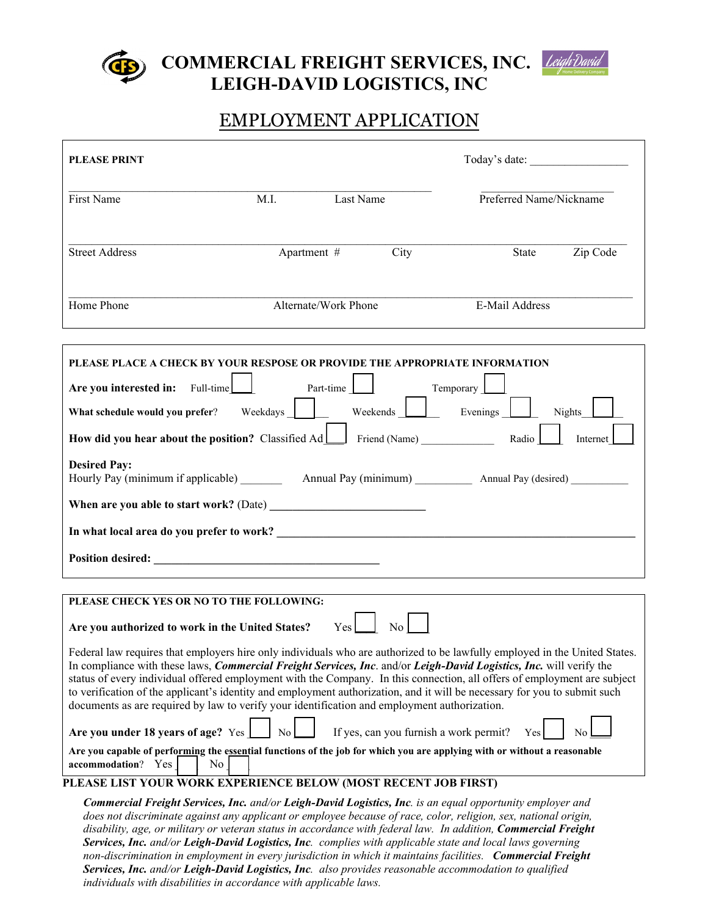

**COMMERCIAL FREIGHT SERVICES, INC. LEIGH-DAVID LOGISTICS, INC** 



# EMPLOYMENT APPLICATION

| <b>PLEASE PRINT</b>                                                                                                                                                                                                                                                                                                                                                                                                                                                                                                                                                                                                                                                                                                                                                                                                                                                                                                                                                                                                                                                                                  |             |                      |      | Today's date:           |          |
|------------------------------------------------------------------------------------------------------------------------------------------------------------------------------------------------------------------------------------------------------------------------------------------------------------------------------------------------------------------------------------------------------------------------------------------------------------------------------------------------------------------------------------------------------------------------------------------------------------------------------------------------------------------------------------------------------------------------------------------------------------------------------------------------------------------------------------------------------------------------------------------------------------------------------------------------------------------------------------------------------------------------------------------------------------------------------------------------------|-------------|----------------------|------|-------------------------|----------|
| First Name                                                                                                                                                                                                                                                                                                                                                                                                                                                                                                                                                                                                                                                                                                                                                                                                                                                                                                                                                                                                                                                                                           | M.I.        | Last Name            |      | Preferred Name/Nickname |          |
| <b>Street Address</b>                                                                                                                                                                                                                                                                                                                                                                                                                                                                                                                                                                                                                                                                                                                                                                                                                                                                                                                                                                                                                                                                                | Apartment # |                      | City | State                   | Zip Code |
| Home Phone                                                                                                                                                                                                                                                                                                                                                                                                                                                                                                                                                                                                                                                                                                                                                                                                                                                                                                                                                                                                                                                                                           |             | Alternate/Work Phone |      | E-Mail Address          |          |
| PLEASE PLACE A CHECK BY YOUR RESPOSE OR PROVIDE THE APPROPRIATE INFORMATION<br>Are you interested in: Full-time<br>Part-time<br>Temporary<br>Weekends [<br>$\Box$ Evenings<br>What schedule would you prefer?<br>Weekdays  <br><b>Nights</b><br><b>How did you hear about the position?</b> Classified $Ad$ Friend (Name)<br>Radio<br>Internet<br><b>Desired Pay:</b>                                                                                                                                                                                                                                                                                                                                                                                                                                                                                                                                                                                                                                                                                                                                |             |                      |      |                         |          |
| PLEASE CHECK YES OR NO TO THE FOLLOWING:<br>Yes<br>Are you authorized to work in the United States?<br>N <sub>o</sub><br>Federal law requires that employers hire only individuals who are authorized to be lawfully employed in the United States.<br>In compliance with these laws, <i>Commercial Freight Services</i> , <i>Inc.</i> and/or <i>Leigh-David Logistics</i> , <i>Inc.</i> will verify the<br>status of every individual offered employment with the Company. In this connection, all offers of employment are subject<br>to verification of the applicant's identity and employment authorization, and it will be necessary for you to submit such<br>documents as are required by law to verify your identification and employment authorization.<br>Are you under 18 years of age? Yes<br>If yes, can you furnish a work permit?<br>N <sub>o</sub><br>Yes<br>Are you capable of performing the essential functions of the job for which you are applying with or without a reasonable<br>accommodation? Yes<br>No<br>PLEASE LIST YOUR WORK EXPERIENCE BELOW (MOST RECENT JOB FIRST) |             |                      |      |                         |          |
| Commercial Freight Services, Inc. and/or Leigh-David Logistics, Inc. is an equal opportunity employer and<br>does not discriminate against any applicant or employee because of race, color, religion, sex, national origin,<br>disability, age, or military or veteran status in accordance with federal law. In addition, Commercial Freight<br>Services, Inc. and/or Leigh-David Logistics, Inc. complies with applicable state and local laws governing<br>non-discrimination in employment in every jurisdiction in which it maintains facilities. Commercial Freight                                                                                                                                                                                                                                                                                                                                                                                                                                                                                                                           |             |                      |      |                         |          |

*Services, Inc. and/or Leigh-David Logistics, Inc. also provides reasonable accommodation to qualified individuals with disabilities in accordance with applicable laws.*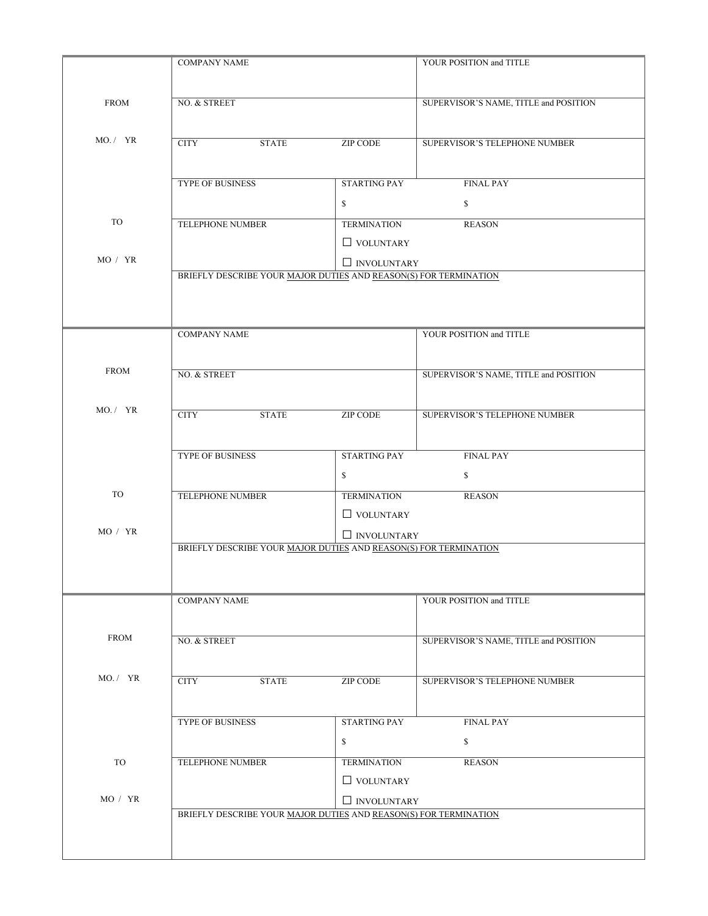| <b>FROM</b> | NO. & STREET                                                     |                        | SUPERVISOR'S NAME, TITLE and POSITION |  |
|-------------|------------------------------------------------------------------|------------------------|---------------------------------------|--|
| MO. / YR    | <b>CITY</b><br><b>STATE</b>                                      | <b>ZIP CODE</b>        | SUPERVISOR'S TELEPHONE NUMBER         |  |
|             |                                                                  |                        |                                       |  |
|             | <b>TYPE OF BUSINESS</b>                                          | <b>STARTING PAY</b>    | <b>FINAL PAY</b>                      |  |
|             |                                                                  | \$                     | \$                                    |  |
| TO          | TELEPHONE NUMBER                                                 | <b>TERMINATION</b>     | <b>REASON</b>                         |  |
| MO / YR     |                                                                  | $\hfill\Box$ VOLUNTARY |                                       |  |
|             | BRIEFLY DESCRIBE YOUR MAJOR DUTIES AND REASON(S) FOR TERMINATION | $\Box$ INVOLUNTARY     |                                       |  |
|             |                                                                  |                        |                                       |  |
|             | <b>COMPANY NAME</b>                                              |                        | YOUR POSITION and TITLE               |  |
| <b>FROM</b> |                                                                  |                        |                                       |  |
|             | NO. & STREET                                                     |                        | SUPERVISOR'S NAME, TITLE and POSITION |  |
| MO. / YR    | <b>CITY</b><br><b>STATE</b>                                      | <b>ZIP CODE</b>        | SUPERVISOR'S TELEPHONE NUMBER         |  |
|             | <b>TYPE OF BUSINESS</b>                                          | <b>STARTING PAY</b>    | <b>FINAL PAY</b>                      |  |
|             |                                                                  | \$                     | $\mathbb{S}$                          |  |
| TO          | <b>TELEPHONE NUMBER</b>                                          | <b>TERMINATION</b>     | <b>REASON</b>                         |  |
|             |                                                                  | $\hfill\Box$ VOLUNTARY |                                       |  |
| MO / YR     |                                                                  | $\Box$ INVOLUNTARY     |                                       |  |
|             | BRIEFLY DESCRIBE YOUR MAJOR DUTIES AND REASON(S) FOR TERMINATION |                        |                                       |  |
|             | <b>COMPANY NAME</b>                                              |                        | YOUR POSITION and TITLE               |  |
| <b>FROM</b> | NO. & STREET                                                     |                        | SUPERVISOR'S NAME, TITLE and POSITION |  |
| MO. / YR    | <b>CITY</b><br><b>STATE</b>                                      | <b>ZIP CODE</b>        | SUPERVISOR'S TELEPHONE NUMBER         |  |
|             | <b>TYPE OF BUSINESS</b>                                          | <b>STARTING PAY</b>    | <b>FINAL PAY</b>                      |  |
|             |                                                                  | \$                     | $\mathbb{S}$                          |  |
| TO          | TELEPHONE NUMBER                                                 | <b>TERMINATION</b>     | <b>REASON</b>                         |  |
|             |                                                                  | $\hfill\Box$ VOLUNTARY |                                       |  |
|             |                                                                  | $\Box$ INVOLUNTARY     |                                       |  |
| MO / YR     |                                                                  |                        |                                       |  |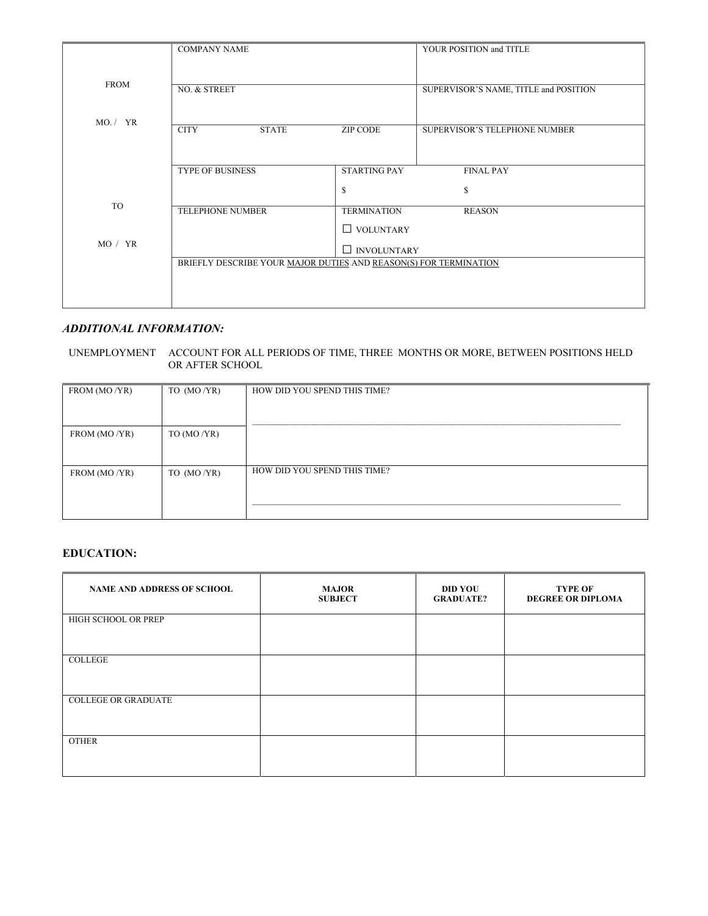|             | <b>COMPANY NAME</b>                                              |                     | YOUR POSITION and TITLE               |
|-------------|------------------------------------------------------------------|---------------------|---------------------------------------|
|             |                                                                  |                     |                                       |
| <b>FROM</b> | NO. & STREET                                                     |                     | SUPERVISOR'S NAME, TITLE and POSITION |
|             |                                                                  |                     |                                       |
| MO. / YR    | <b>CITY</b><br><b>STATE</b>                                      | <b>ZIP CODE</b>     | SUPERVISOR'S TELEPHONE NUMBER         |
|             |                                                                  |                     |                                       |
|             | <b>TYPE OF BUSINESS</b>                                          | <b>STARTING PAY</b> | <b>FINAL PAY</b>                      |
|             |                                                                  | \$                  | $\mathbb{S}$                          |
| TO          | <b>TELEPHONE NUMBER</b>                                          | <b>TERMINATION</b>  | <b>REASON</b>                         |
|             |                                                                  | $\Box$ VOLUNTARY    |                                       |
| MO / YR     |                                                                  | $\Box$ INVOLUNTARY  |                                       |
|             | BRIEFLY DESCRIBE YOUR MAJOR DUTIES AND REASON(S) FOR TERMINATION |                     |                                       |
|             |                                                                  |                     |                                       |
|             |                                                                  |                     |                                       |

#### *ADDITIONAL INFORMATION:*

UNEMPLOYMENT ACCOUNT FOR ALL PERIODS OF TIME, THREE MONTHS OR MORE, BETWEEN POSITIONS HELD OR AFTER SCHOOL

| FROM (MO/YR) | TO $(MO/YR)$   | HOW DID YOU SPEND THIS TIME? |
|--------------|----------------|------------------------------|
|              |                |                              |
|              |                |                              |
|              |                |                              |
|              |                |                              |
| FROM (MO/YR) | TO (MO $/YR$ ) |                              |
|              |                |                              |
|              |                |                              |
|              |                |                              |
|              |                | HOW DID YOU SPEND THIS TIME? |
| FROM (MO/YR) | TO $(MO/YR)$   |                              |
|              |                |                              |
|              |                |                              |
|              |                |                              |
|              |                |                              |
|              |                |                              |

## **EDUCATION:**

| <b>NAME AND ADDRESS OF SCHOOL</b> | <b>MAJOR</b><br><b>SUBJECT</b> | <b>DID YOU</b><br><b>GRADUATE?</b> | <b>TYPE OF</b><br><b>DEGREE OR DIPLOMA</b> |
|-----------------------------------|--------------------------------|------------------------------------|--------------------------------------------|
| HIGH SCHOOL OR PREP               |                                |                                    |                                            |
| COLLEGE                           |                                |                                    |                                            |
| <b>COLLEGE OR GRADUATE</b>        |                                |                                    |                                            |
| <b>OTHER</b>                      |                                |                                    |                                            |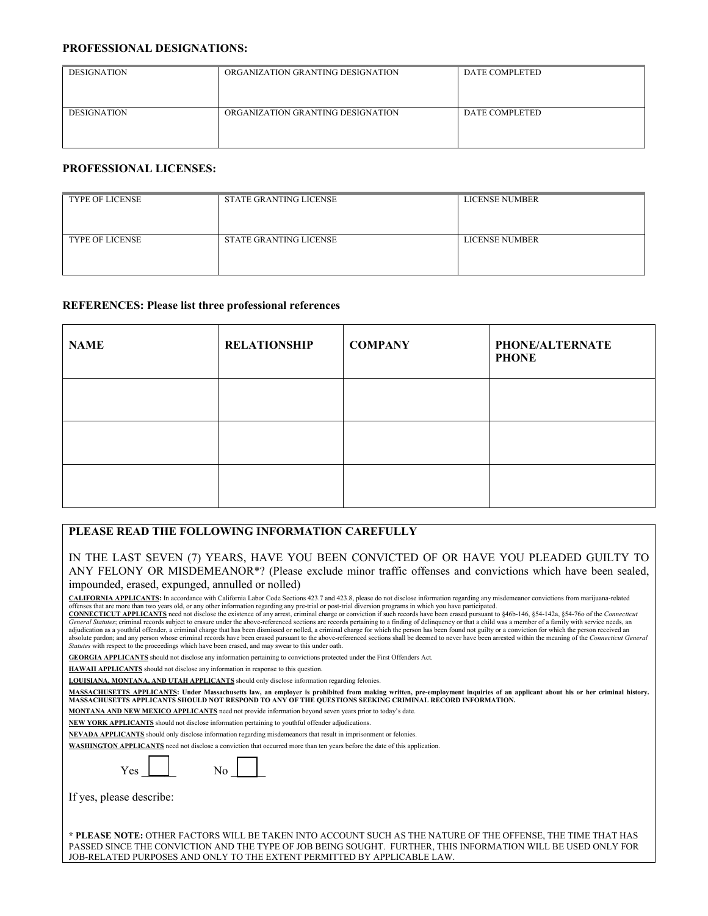#### **PROFESSIONAL DESIGNATIONS:**

| <b>DESIGNATION</b> | ORGANIZATION GRANTING DESIGNATION | DATE COMPLETED |
|--------------------|-----------------------------------|----------------|
| <b>DESIGNATION</b> | ORGANIZATION GRANTING DESIGNATION | DATE COMPLETED |

## **PROFESSIONAL LICENSES:**

| <b>TYPE OF LICENSE</b> | STATE GRANTING LICENSE        | <b>LICENSE NUMBER</b> |
|------------------------|-------------------------------|-----------------------|
| <b>TYPE OF LICENSE</b> | <b>STATE GRANTING LICENSE</b> | LICENSE NUMBER        |

#### **REFERENCES: Please list three professional references**

| <b>NAME</b> | <b>RELATIONSHIP</b> | <b>COMPANY</b> | <b>PHONE/ALTERNATE</b><br><b>PHONE</b> |
|-------------|---------------------|----------------|----------------------------------------|
|             |                     |                |                                        |
|             |                     |                |                                        |
|             |                     |                |                                        |

# **PLEASE READ THE FOLLOWING INFORMATION CAREFULLY**

IN THE LAST SEVEN (7) YEARS, HAVE YOU BEEN CONVICTED OF OR HAVE YOU PLEADED GUILTY TO ANY FELONY OR MISDEMEANOR\*? (Please exclude minor traffic offenses and convictions which have been sealed, impounded, erased, expunged, annulled or nolled)

**CALIFORNIA APPLICANTS:** In accordance with California Labor Code Sections 423.7 and 423.8, please do not disclose information regarding any misdemeanor convictions from marijuana-related

offenses that are more than two years old, or any other information regarding any pre-trial or post-trial diversion programs in which you have participated.<br>CONNECTICUT APPLICANTS need not disclose the existence of any arr General Statutes; criminal records subject to erasure under the above-referenced sections are records pertaining to a finding of delinquency or that a child was a member of a family with service needs, an ember of a family *Statutes* with respect to the proceedings which have been erased, and may swear to this under oath.

**GEORGIA APPLICANTS** should not disclose any information pertaining to convictions protected under the First Offenders Act.

**HAWAII APPLICANTS** should not disclose any information in response to this question.

**LOUISIANA, MONTANA, AND UTAH APPLICANTS** should only disclose information regarding felonies.

<u>MASSACHUSETTS APPLICANTS</u>: Under Massachusetts law, an employer is prohibited from making written, pre-employment inquiries of an applicant about his or her criminal history.<br>MASSACHUSETTS APPLICANTS SHOULD NOT RESPOND TO

**MONTANA AND NEW MEXICO APPLICANTS** need not provide information beyond seven years prior to today's date.

**NEW YORK APPLICANTS** should not disclose information pertaining to youthful offender adjudications.

**NEVADA APPLICANTS** should only disclose information regarding misdemeanors that result in imprisonment or felonies.

**WASHINGTON APPLICANTS** need not disclose a conviction that occurred more than ten years before the date of this application.

Yes  $\Box$  No

If yes, please describe:

**\* PLEASE NOTE:** OTHER FACTORS WILL BE TAKEN INTO ACCOUNT SUCH AS THE NATURE OF THE OFFENSE, THE TIME THAT HAS PASSED SINCE THE CONVICTION AND THE TYPE OF JOB BEING SOUGHT. FURTHER, THIS INFORMATION WILL BE USED ONLY FOR JOB-RELATED PURPOSES AND ONLY TO THE EXTENT PERMITTED BY APPLICABLE LAW.